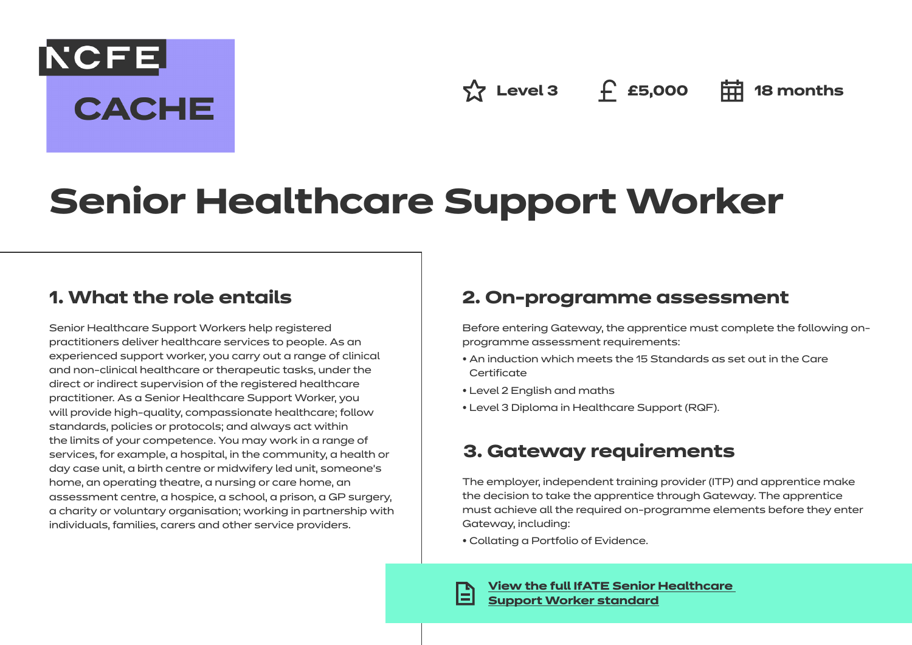**NCFE CACHE** 

**Level 3 £5,000 18 months**

# **Senior Healthcare Support Worker**

## **1. What the role entails**

Senior Healthcare Support Workers help registered practitioners deliver healthcare services to people. As an experienced support worker, you carry out a range of clinical and non-clinical healthcare or therapeutic tasks, under the direct or indirect supervision of the registered healthcare practitioner. As a Senior Healthcare Support Worker, you will provide high-quality, compassionate healthcare; follow standards, policies or protocols; and always act within the limits of your competence. You may work in a range of services, for example, a hospital, in the community, a health or day case unit, a birth centre or midwifery led unit, someone's home, an operating theatre, a nursing or care home, an assessment centre, a hospice, a school, a prison, a GP surgery, a charity or voluntary organisation; working in partnership with individuals, families, carers and other service providers.

## **2. On-programme assessment**

Before entering Gateway, the apprentice must complete the following onprogramme assessment requirements:

- An induction which meets the 15 Standards as set out in the Care **Certificate**
- Level 2 English and maths
- Level 3 Diploma in Healthcare Support (RQF).

# **3. Gateway requirements**

The employer, independent training provider (ITP) and apprentice make the decision to take the apprentice through Gateway. The apprentice must achieve all the required on-programme elements before they enter Gateway, including:

• Collating a Portfolio of Evidence.

**[View the full IfATE Senior Healthcare](https://www.instituteforapprenticeships.org/apprenticeship-standards/healthcare-assistant-practitioner/)  [Support Worker standard](https://www.instituteforapprenticeships.org/apprenticeship-standards/senior-healthcare-support-worker-v1-2)**